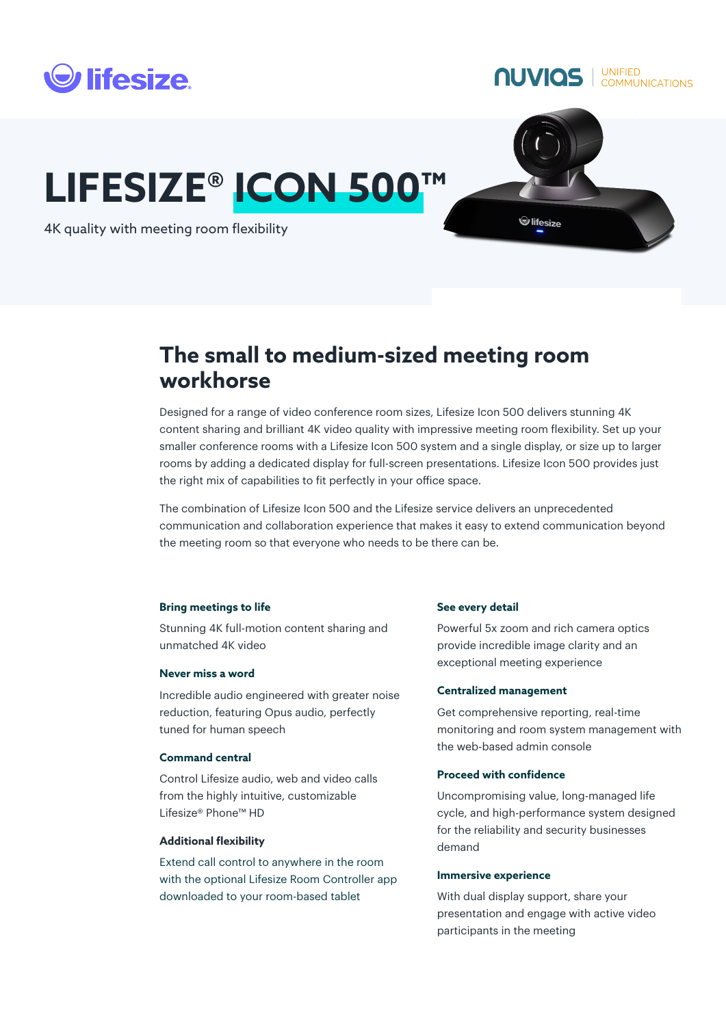

**NUVIOS** COMMUNICATIONS

# **LIFESIZE® ICON 500™**



4K quality with meeting room flexibility

# **The small to medium-sized meeting room workhorse**

Designed for a range of video conference room sizes, Lifesize Icon 500 delivers stunning 4K content sharing and brilliant 4K video quality with impressive meeting room flexibility. Set up your smaller conference rooms with a Lifesize Icon 500 system and a single display, or size up to larger rooms by adding a dedicated display for full-screen presentations. Lifesize Icon 500 provides just the right mix of capabilities to fit perfectly in your office space.

The combination of Lifesize Icon 500 and the Lifesize service delivers an unprecedented communication and collaboration experience that makes it easy to extend communication beyond the meeting room so that everyone who needs to be there can be.

# **Bring meetings to life**

Stunning 4K full-motion content sharing and unmatched 4K video

# **Never miss a word**

Incredible audio engineered with greater noise reduction, featuring Opus audio, perfectly tuned for human speech

# **Command central**

Control Lifesize audio, web and video calls from the highly intuitive, customizable Lifesize® Phone™ HD

# **Additional flexibility**

Extend call control to anywhere in the room with the optional Lifesize Room Controller app downloaded to your room-based tablet

# **See every detail**

Powerful 5x zoom and rich camera optics provide incredible image clarity and an exceptional meeting experience

# **Centralized management**

Get comprehensive reporting, real-time monitoring and room system management with the web-based admin console

# **Proceed with confidence**

Uncompromising value, long-managed life cycle, and high-performance system designed for the reliability and security businesses demand

# **Immersive experience**

With dual display support, share your presentation and engage with active video participants in the meeting